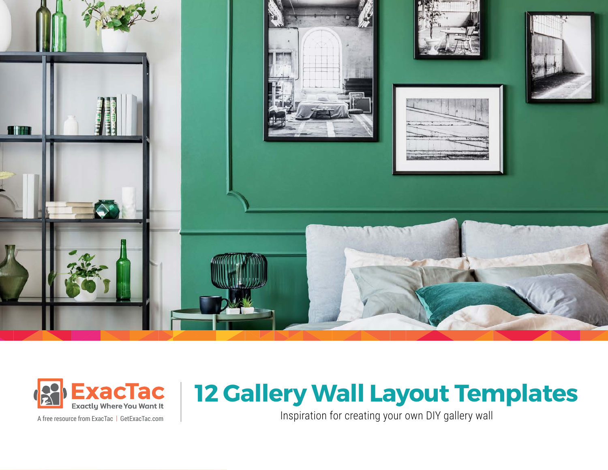



# **12 Gallery Wall Layout Templates**

A free resource from ExacTac Inspiration for creating your own DIY gallery wall | [GetExacTac.com](https://www.getexactac.com)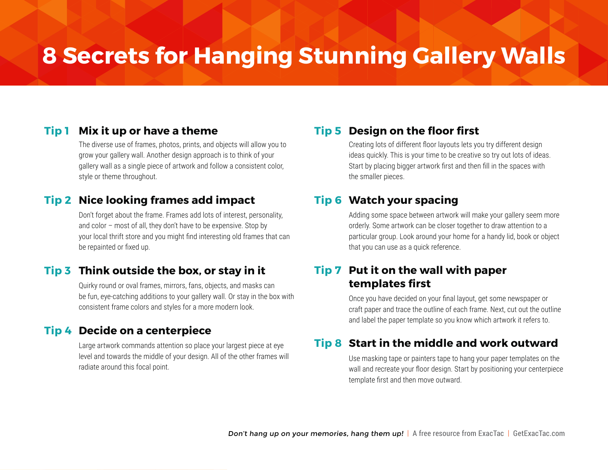## **8 Secrets for Hanging Stunning Gallery Walls**

#### **Tip 1 Mix it up or have a theme**

The diverse use of frames, photos, prints, and objects will allow you to grow your gallery wall. Another design approach is to think of your gallery wall as a single piece of artwork and follow a consistent color, style or theme throughout.

#### **Tip 2 Nice looking frames add impact**

Don't forget about the frame. Frames add lots of interest, personality, and color – most of all, they don't have to be expensive. Stop by your local thrift store and you might find interesting old frames that can be repainted or fixed up.

#### **Tip 3 Think outside the box, or stay in it**

Quirky round or oval frames, mirrors, fans, objects, and masks can be fun, eye-catching additions to your gallery wall. Or stay in the box with consistent frame colors and styles for a more modern look.

#### **Tip 4 Decide on a centerpiece**

Large artwork commands attention so place your largest piece at eye level and towards the middle of your design. All of the other frames will radiate around this focal point.

#### **Tip 5 Design on the floor first**

Creating lots of different floor layouts lets you try different design ideas quickly. This is your time to be creative so try out lots of ideas. Start by placing bigger artwork first and then fill in the spaces with the smaller pieces.

#### **Tip 6 Watch your spacing**

Adding some space between artwork will make your gallery seem more orderly. Some artwork can be closer together to draw attention to a particular group. Look around your home for a handy lid, book or object that you can use as a quick reference.

#### **Tip 7 Put it on the wall with paper templates first**

Once you have decided on your final layout, get some newspaper or craft paper and trace the outline of each frame. Next, cut out the outline and label the paper template so you know which artwork it refers to.

#### **Tip 8 Start in the middle and work outward**

Use masking tape or painters tape to hang your paper templates on the wall and recreate your floor design. Start by positioning your centerpiece template first and then move outward.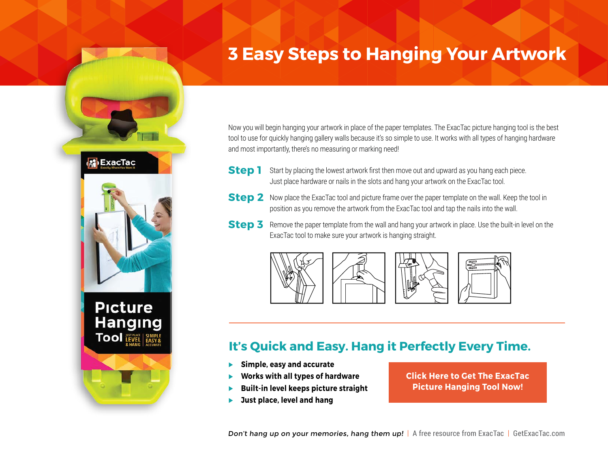### **3 Easy Steps to Hanging Your Artwork**

Now you will begin hanging your artwork in place of the paper templates. The ExacTac picture hanging tool is the best tool to use for quickly hanging gallery walls because it's so simple to use. It works with all types of hanging hardware and most importantly, there's no measuring or marking need!

- **Step 1** Start by placing the lowest artwork first then move out and upward as you hang each piece. Just place hardware or nails in the slots and hang your artwork on the ExacTac tool.
- **Step 2** Now place the ExacTac tool and picture frame over the paper template on the wall. Keep the tool in position as you remove the artwork from the ExacTac tool and tap the nails into the wall.
- **Step 3** Remove the paper template from the wall and hang your artwork in place. Use the built-in level on the ExacTac tool to make sure your artwork is hanging straight.



#### **It's Quick and Easy. Hang it Perfectly Every Time.**

 **Simple, easy and accurate**

**S** ExacTac

**Picture** 

**Hanging TOOI** LEVEL SIMPLE

- **Works with all types of hardware**
- **Built-in level keeps picture straight**
- **Just place, level and hang**

**[Click Here to Get The ExacTac](https://www.getexactac.com/picture-hanging-tool-2/) Picture Hanging Tool Now!**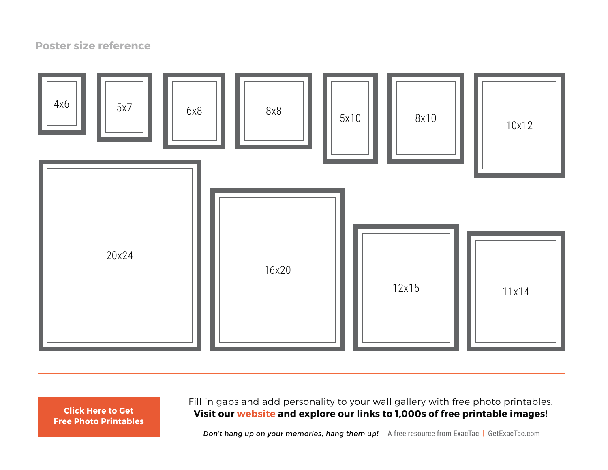#### **Poster size reference**



**[Free Photo Printables](https://www.getexactac.com/picture-hanging-tool-2/)**

Fill in gaps and add personality to your wall gallery with free photo printables. **Visit our [website](https://www.getexactac.com/free) and explore our links to 1,000s of free printable images! [Click Here to Get](https://www.getexactac.com/free)**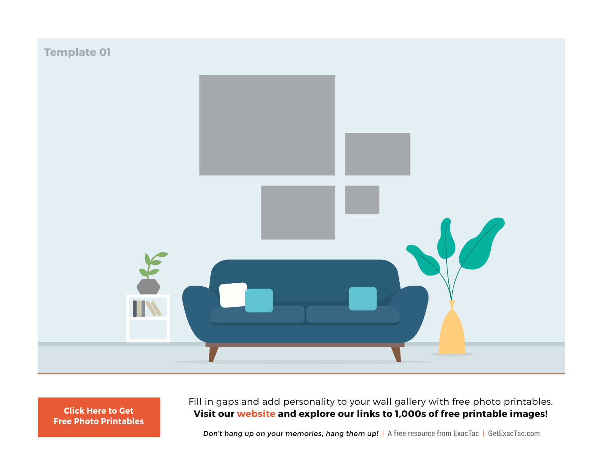

Fill in gaps and add personality to your wall gallery with free photo printables. **Visit our [website](https://www.getexactac.com/free) and explore our links to 1,000s of free printable images! [Click Here to Get](https://www.getexactac.com/free)**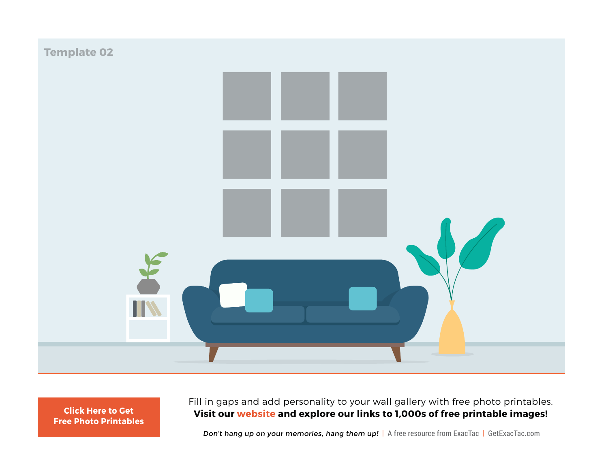

Fill in gaps and add personality to your wall gallery with free photo printables. **Visit our [website](https://www.getexactac.com/free) and explore our links to 1,000s of free printable images! [Click Here to Get](https://www.getexactac.com/free)**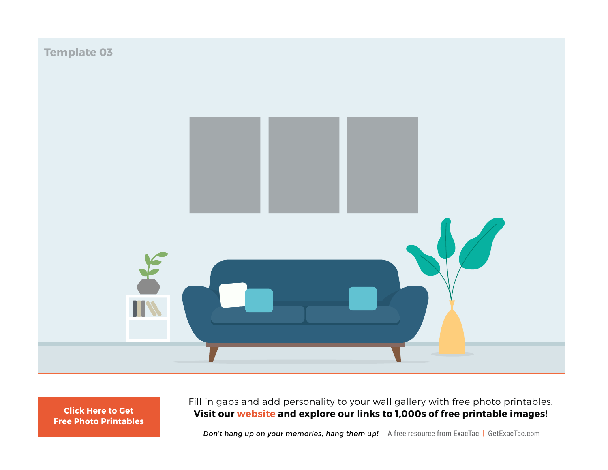

Fill in gaps and add personality to your wall gallery with free photo printables. **Visit our [website](https://www.getexactac.com/free) and explore our links to 1,000s of free printable images! [Click Here to Get](https://www.getexactac.com/free)**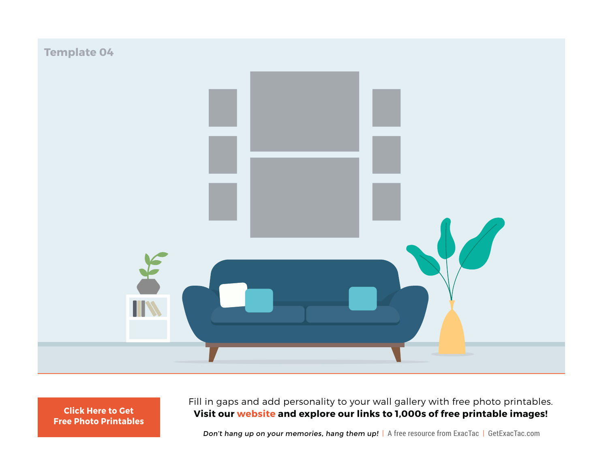![](_page_7_Picture_0.jpeg)

Fill in gaps and add personality to your wall gallery with free photo printables. **Visit our [website](https://www.getexactac.com/free) and explore our links to 1,000s of free printable images! [Click Here to Get](https://www.getexactac.com/free)**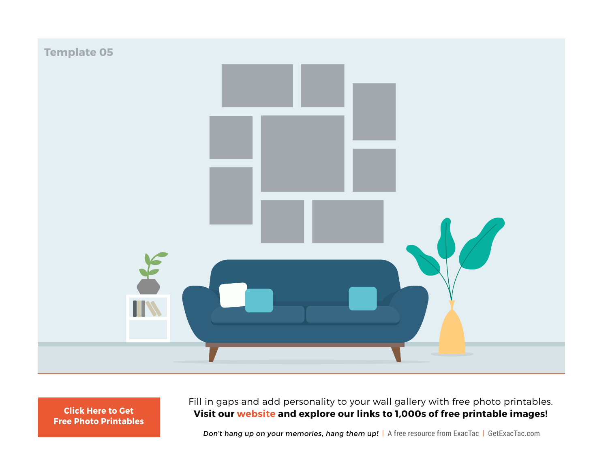![](_page_8_Picture_0.jpeg)

Fill in gaps and add personality to your wall gallery with free photo printables. **Visit our [website](https://www.getexactac.com/free) and explore our links to 1,000s of free printable images! [Click Here to Get](https://www.getexactac.com/free)**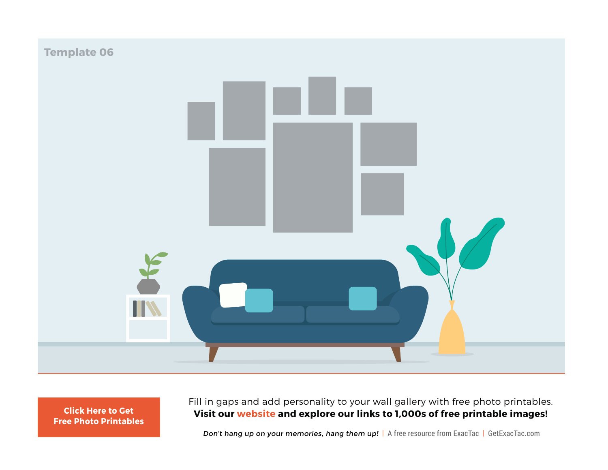![](_page_9_Picture_0.jpeg)

Fill in gaps and add personality to your wall gallery with free photo printables. **Visit our [website](https://www.getexactac.com/free) and explore our links to 1,000s of free printable images! [Click Here to Get](https://www.getexactac.com/free)**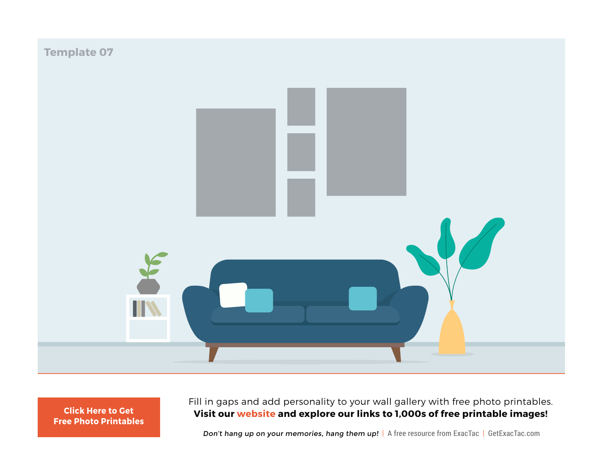![](_page_10_Figure_0.jpeg)

Fill in gaps and add personality to your wall gallery with free photo printables. **Visit our [website](https://www.getexactac.com/free) and explore our links to 1,000s of free printable images! [Click Here to Get](https://www.getexactac.com/free)**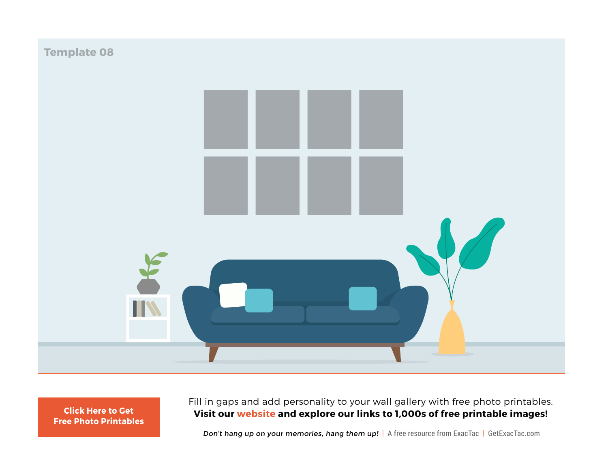![](_page_11_Picture_0.jpeg)

Fill in gaps and add personality to your wall gallery with free photo printables. **Visit our [website](https://www.getexactac.com/free) and explore our links to 1,000s of free printable images! [Click Here to Get](https://www.getexactac.com/free)**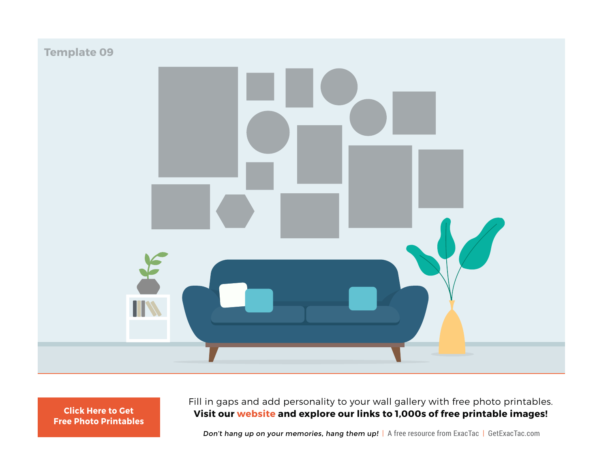![](_page_12_Picture_0.jpeg)

Fill in gaps and add personality to your wall gallery with free photo printables. **Visit our [website](https://www.getexactac.com/free) and explore our links to 1,000s of free printable images! [Click Here to Get](https://www.getexactac.com/free)**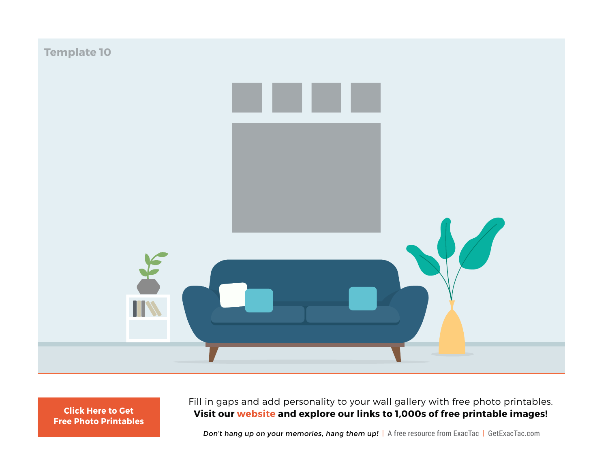![](_page_13_Picture_0.jpeg)

Fill in gaps and add personality to your wall gallery with free photo printables. **Visit our [website](https://www.getexactac.com/free) and explore our links to 1,000s of free printable images! [Click Here to Get](https://www.getexactac.com/free)**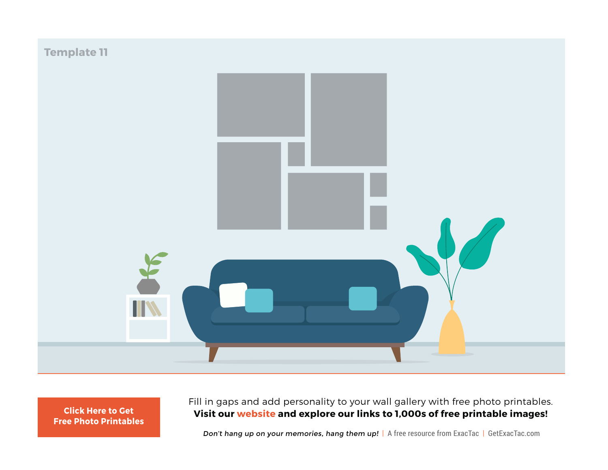![](_page_14_Figure_0.jpeg)

Fill in gaps and add personality to your wall gallery with free photo printables. **Visit our [website](https://www.getexactac.com/free) and explore our links to 1,000s of free printable images! [Click Here to Get](https://www.getexactac.com/free)**